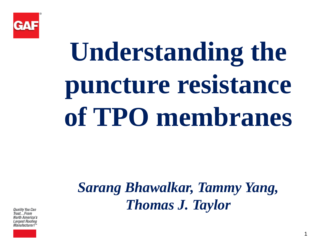

# **Understanding the puncture resistance of TPO membranes**

*Sarang Bhawalkar, Tammy Yang, Thomas J. Taylor*

**Quality You Can** Trust...From **North America's** Largest Roofing *Manufacturer!*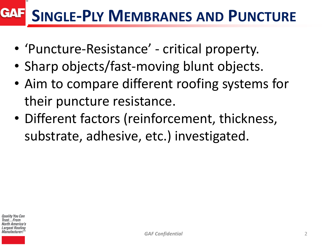#### **GAF SINGLE-PLY MEMBRANES AND PUNCTURE**

- 'Puncture-Resistance' critical property.
- Sharp objects/fast-moving blunt objects.
- Aim to compare different roofing systems for their puncture resistance.
- Different factors (reinforcement, thickness, substrate, adhesive, etc.) investigated.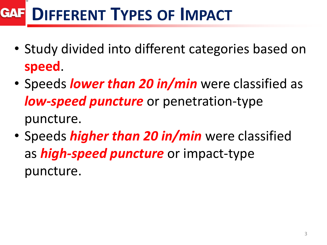#### **DIFFERENT TYPES OF IMPACT GAF**

- Study divided into different categories based on **speed**.
- Speeds *lower than 20 in/min* were classified as *low-speed puncture* or penetration-type puncture.
- Speeds *higher than 20 in/min* were classified as *high-speed puncture* or impact-type puncture.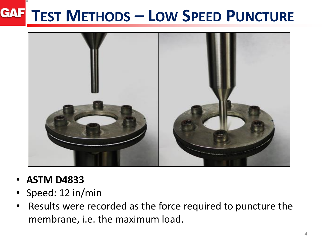### **TEST METHODS – LOW SPEED PUNCTURE**



- **ASTM D4833**
- Speed: 12 in/min
- Results were recorded as the force required to puncture the membrane, i.e. the maximum load.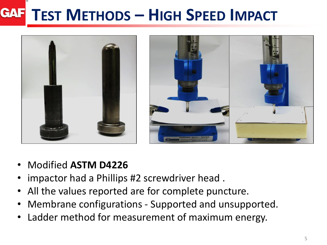#### **GAF TEST METHODS – HIGH SPEED IMPACT**



- Modified **ASTM D4226**
- impactor had a Phillips #2 screwdriver head .
- All the values reported are for complete puncture.
- Membrane configurations Supported and unsupported.
- Ladder method for measurement of maximum energy.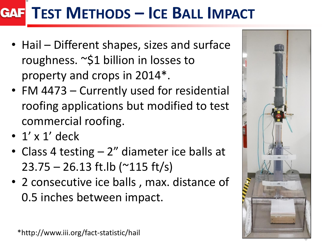### **TEST METHODS – ICE BALL IMPACT**

- Hail Different shapes, sizes and surface roughness. ~\$1 billion in losses to property and crops in 2014\*.
- FM 4473 Currently used for residential roofing applications but modified to test commercial roofing.
- $\cdot$  1' x 1' deck
- Class 4 testing 2" diameter ice balls at 23.75 – 26.13 ft.lb (~115 ft/s)
- 2 consecutive ice balls , max. distance of 0.5 inches between impact.



\*http://www.iii.org/fact-statistic/hail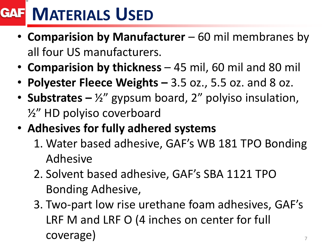## **MATERIALS USED**

- **Comparision by Manufacturer**  60 mil membranes by all four US manufacturers.
- **Comparision by thickness**  45 mil, 60 mil and 80 mil
- **Polyester Fleece Weights –** 3.5 oz., 5.5 oz. and 8 oz.
- **Substrates –** ½" gypsum board, 2" polyiso insulation, ½" HD polyiso coverboard
- **Adhesives for fully adhered systems** 
	- 1. Water based adhesive, GAF's WB 181 TPO Bonding Adhesive
	- 2. Solvent based adhesive, GAF's SBA 1121 TPO Bonding Adhesive,
	- 3. Two-part low rise urethane foam adhesives, GAF's LRF M and LRF O (4 inches on center for full coverage)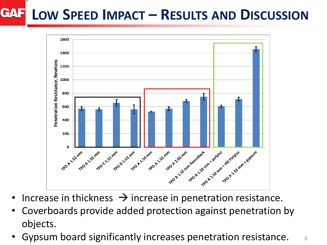#### **GAF LOW SPEED IMPACT – RESULTS AND DISCUSSION**



- Increase in thickness  $\rightarrow$  increase in penetration resistance.
- Coverboards provide added protection against penetration by objects.
- Gypsum board significantly increases penetration resistance.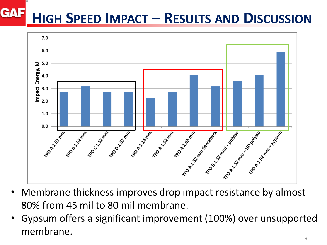#### **GAF HIGH SPEED IMPACT – RESULTS AND DISCUSSION**



- Membrane thickness improves drop impact resistance by almost 80% from 45 mil to 80 mil membrane.
- Gypsum offers a significant improvement (100%) over unsupported membrane.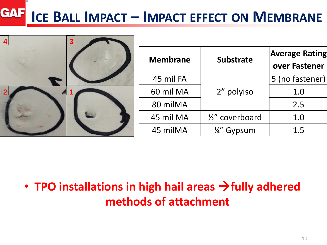#### **GAF ICE BALL IMPACT – IMPACT EFFECT ON MEMBRANE**

| $\overline{4}$<br>3 <sup>1</sup> |                 |                  |                                        |
|----------------------------------|-----------------|------------------|----------------------------------------|
| $\tau_{\text{rel}}$              | <b>Membrane</b> | <b>Substrate</b> | <b>Average Rating</b><br>over Fastener |
|                                  | 45 mil FA       |                  | 5 (no fastener)                        |
|                                  | 60 mil MA       | 2" polyiso       | 1.0                                    |
|                                  | 80 milMA        |                  | 2.5                                    |
|                                  | 45 mil MA       | 1/2" coverboard  | 1.0                                    |
|                                  | 45 milMA        | 1/4" Gypsum      | 1.5                                    |

#### • **TPO installations in high hail areas fully adhered methods of attachment**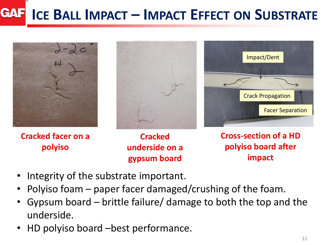#### **GAF ICE BALL IMPACT – IMPACT EFFECT ON SUBSTRATE**



**Cracked facer on a polyiso**





**Cracked underside on a gypsum board**

**Cross-section of a HD polyiso board after impact**

- Integrity of the substrate important.
- Polyiso foam paper facer damaged/crushing of the foam.
- Gypsum board brittle failure/ damage to both the top and the underside.
- HD polyiso board –best performance.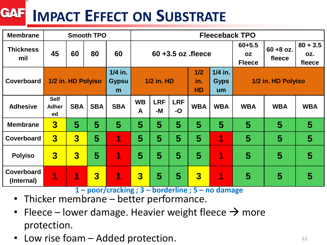#### **GAF IMPACT EFFECT ON SUBSTRATE**

| <b>Membrane</b>                 | <b>Smooth TPO</b>                 |                         |                         |                                | <b>Fleeceback TPO</b>   |                  |                    |                         |                                          |                        |                             |            |
|---------------------------------|-----------------------------------|-------------------------|-------------------------|--------------------------------|-------------------------|------------------|--------------------|-------------------------|------------------------------------------|------------------------|-----------------------------|------------|
| <b>Thickness</b><br>mil         | 45                                | 60                      | 80                      | 60                             | $60 + 3.5$ oz $f$ leece |                  |                    |                         | $60 + 5.5$<br><b>OZ</b><br><b>Fleece</b> | $60 + 8$ oz.<br>fleece | $80 + 3.5$<br>OZ.<br>fleece |            |
| Coverboard                      |                                   | 1/2 in. HD Polyiso      |                         | $1/4$ in.<br><b>Gypsu</b><br>m | <b>1/2 in. HD</b>       |                  |                    | 1/2<br>in.<br><b>HD</b> | $1/4$ in.<br><b>Gyps</b><br>um           | 1/2 in. HD Polyiso     |                             |            |
| <b>Adhesive</b>                 | <b>Self</b><br><b>Adher</b><br>ed | <b>SBA</b>              | <b>SBA</b>              | <b>SBA</b>                     | <b>WB</b><br>A          | <b>LRF</b><br>-M | <b>LRF</b><br>$-O$ | <b>WBA</b>              | <b>WBA</b>                               | <b>WBA</b>             | <b>WBA</b>                  | <b>WBA</b> |
| <b>Membrane</b>                 | $\overline{\mathbf{3}}$           | 5                       | 5                       | 5                              | 5                       | 5                | 5                  | 5                       | 5                                        | 5                      | 5                           | 5          |
| Coverboard                      | $\overline{\mathbf{3}}$           | $\overline{3}$          | 5                       | 1                              | 5                       | 5                | 5                  | 5                       | 1                                        | 5                      | $\overline{\mathbf{5}}$     | 5          |
| <b>Polyiso</b>                  | $\overline{\mathbf{3}}$           | $\overline{\mathbf{3}}$ | $\overline{5}$          | 1                              | 5                       | $\overline{5}$   | 5                  | 5                       | 1                                        | 5                      | 5                           | 5          |
| <b>Coverboard</b><br>(Internal) | 1                                 | 1                       | $\overline{\mathbf{3}}$ | 1                              | $\overline{\mathbf{3}}$ | 5                | 5                  | $\overline{\mathbf{3}}$ | 1                                        | 5                      | 5                           | 5          |

**1 – poor/cracking ; 3 – borderline ; 5 – no damage**

- Thicker membrane better performance.
- Fleece lower damage. Heavier weight fleece  $\rightarrow$  more protection.
- Low rise foam Added protection.